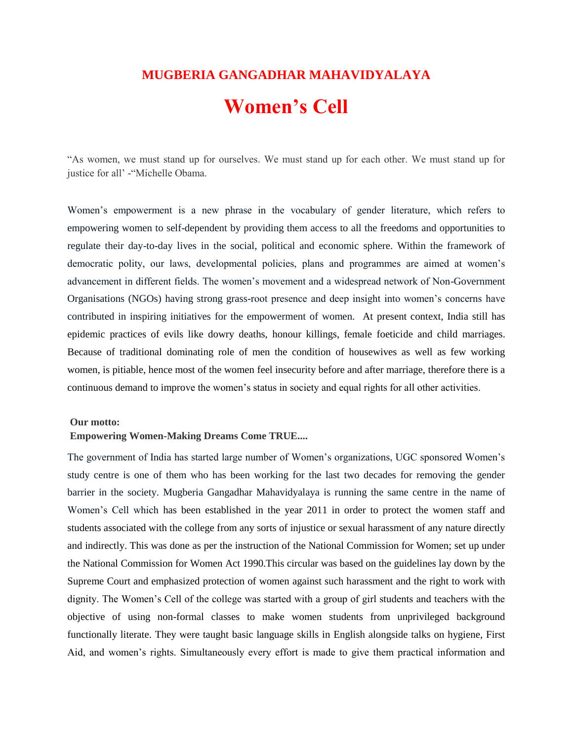# **MUGBERIA GANGADHAR MAHAVIDYALAYA Women's Cell**

"As women, we must stand up for ourselves. We must stand up for each other. We must stand up for justice for all' - "Michelle Obama.

Women"s empowerment is a new phrase in the vocabulary of gender literature, which refers to empowering women to self-dependent by providing them access to all the freedoms and opportunities to regulate their day-to-day lives in the social, political and economic sphere. Within the framework of democratic polity, our laws, developmental policies, plans and programmes are aimed at women"s advancement in different fields. The women"s movement and a widespread network of Non-Government Organisations (NGOs) having strong grass-root presence and deep insight into women"s concerns have contributed in inspiring initiatives for the empowerment of women. At present context, India still has epidemic practices of evils like dowry deaths, honour killings, female foeticide and child marriages. Because of traditional dominating role of men the condition of housewives as well as few working women, is pitiable, hence most of the women feel insecurity before and after marriage, therefore there is a continuous demand to improve the women"s status in society and equal rights for all other activities.

#### **Our motto:**

#### **Empowering Women-Making Dreams Come TRUE....**

The government of India has started large number of Women"s organizations, UGC sponsored Women"s study centre is one of them who has been working for the last two decades for removing the gender barrier in the society. Mugberia Gangadhar Mahavidyalaya is running the same centre in the name of Women"s Cell which has been established in the year 2011 in order to protect the women staff and students associated with the college from any sorts of injustice or sexual harassment of any nature directly and indirectly. This was done as per the instruction of the National Commission for Women; set up under the National Commission for Women Act 1990.This circular was based on the guidelines lay down by the Supreme Court and emphasized protection of women against such harassment and the right to work with dignity. The Women"s Cell of the college was started with a group of girl students and teachers with the objective of using non-formal classes to make women students from unprivileged background functionally literate. They were taught basic language skills in English alongside talks on hygiene, First Aid, and women"s rights. Simultaneously every effort is made to give them practical information and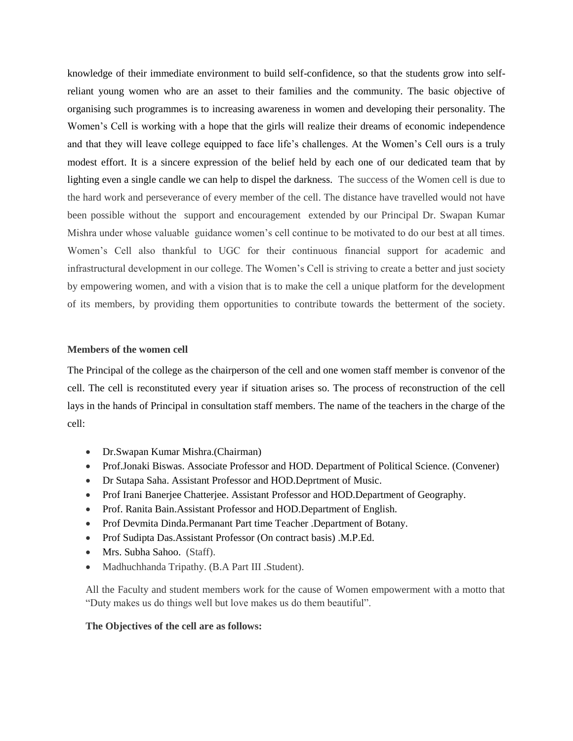knowledge of their immediate environment to build self-confidence, so that the students grow into selfreliant young women who are an asset to their families and the community. The basic objective of organising such programmes is to increasing awareness in women and developing their personality. The Women's Cell is working with a hope that the girls will realize their dreams of economic independence and that they will leave college equipped to face life"s challenges. At the Women"s Cell ours is a truly modest effort. It is a sincere expression of the belief held by each one of our dedicated team that by lighting even a single candle we can help to dispel the darkness. The success of the Women cell is due to the hard work and perseverance of every member of the cell. The distance have travelled would not have been possible without the support and encouragement extended by our Principal Dr. Swapan Kumar Mishra under whose valuable guidance women"s cell continue to be motivated to do our best at all times. Women"s Cell also thankful to UGC for their continuous financial support for academic and infrastructural development in our college. The Women"s Cell is striving to create a better and just society by empowering women, and with a vision that is to make the cell a unique platform for the development of its members, by providing them opportunities to contribute towards the betterment of the society.

#### **Members of the women cell**

The Principal of the college as the chairperson of the cell and one women staff member is convenor of the cell. The cell is reconstituted every year if situation arises so. The process of reconstruction of the cell lays in the hands of Principal in consultation staff members. The name of the teachers in the charge of the cell:

- Dr.Swapan Kumar Mishra.(Chairman)
- Prof.Jonaki Biswas. Associate Professor and HOD. Department of Political Science. (Convener)
- Dr Sutapa Saha. Assistant Professor and HOD.Deprtment of Music.
- Prof Irani Banerjee Chatterjee. Assistant Professor and HOD.Department of Geography.
- Prof. Ranita Bain. Assistant Professor and HOD. Department of English.
- Prof Devmita Dinda.Permanant Part time Teacher .Department of Botany.
- Prof Sudipta Das.Assistant Professor (On contract basis) .M.P.Ed.
- Mrs. Subha Sahoo. (Staff).
- Madhuchhanda Tripathy. (B.A Part III .Student).

All the Faculty and student members work for the cause of Women empowerment with a motto that "Duty makes us do things well but love makes us do them beautiful".

#### **The Objectives of the cell are as follows:**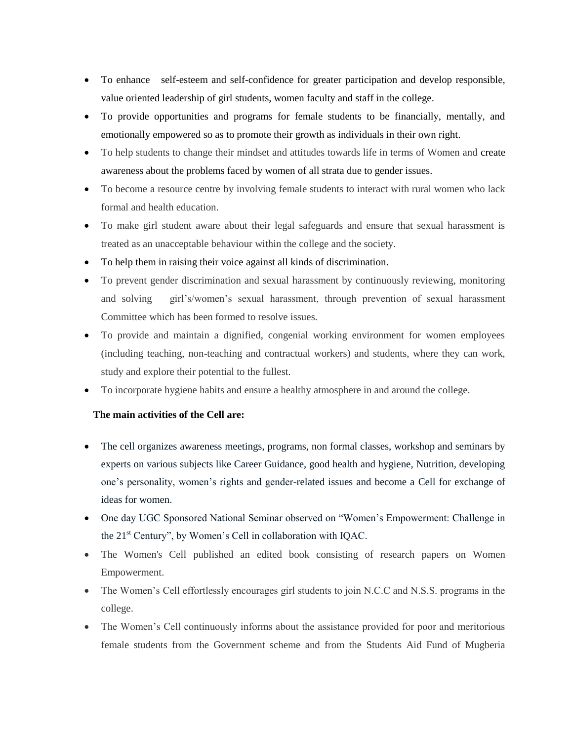- To enhance self-esteem and self-confidence for greater participation and develop responsible, value oriented leadership of girl students, women faculty and staff in the college.
- To provide opportunities and programs for female students to be financially, mentally, and emotionally empowered so as to promote their growth as individuals in their own right.
- To help students to change their mindset and attitudes towards life in terms of Women and create awareness about the problems faced by women of all strata due to gender issues.
- To become a resource centre by involving female students to interact with rural women who lack formal and health education.
- To make girl student aware about their legal safeguards and ensure that sexual harassment is treated as an unacceptable behaviour within the college and the society.
- To help them in raising their voice against all kinds of discrimination.
- To prevent gender discrimination and sexual harassment by continuously reviewing, monitoring and solving girl's/women's sexual harassment, through prevention of sexual harassment Committee which has been formed to resolve issues.
- To provide and maintain a dignified, congenial working environment for women employees (including teaching, non-teaching and contractual workers) and students, where they can work, study and explore their potential to the fullest.
- To incorporate hygiene habits and ensure a healthy atmosphere in and around the college.

#### **The main activities of the Cell are:**

- The cell organizes awareness meetings, programs, non formal classes, workshop and seminars by experts on various subjects like Career Guidance, good health and hygiene, Nutrition, developing one"s personality, women"s rights and gender-related issues and become a Cell for exchange of ideas for women.
- One day UGC Sponsored National Seminar observed on "Women's Empowerment: Challenge in the 21st Century", by Women"s Cell in collaboration with IQAC.
- The Women's Cell published an edited book consisting of research papers on Women Empowerment.
- The Women's Cell effortlessly encourages girl students to join N.C.C and N.S.S. programs in the college.
- The Women's Cell continuously informs about the assistance provided for poor and meritorious female students from the Government scheme and from the Students Aid Fund of Mugberia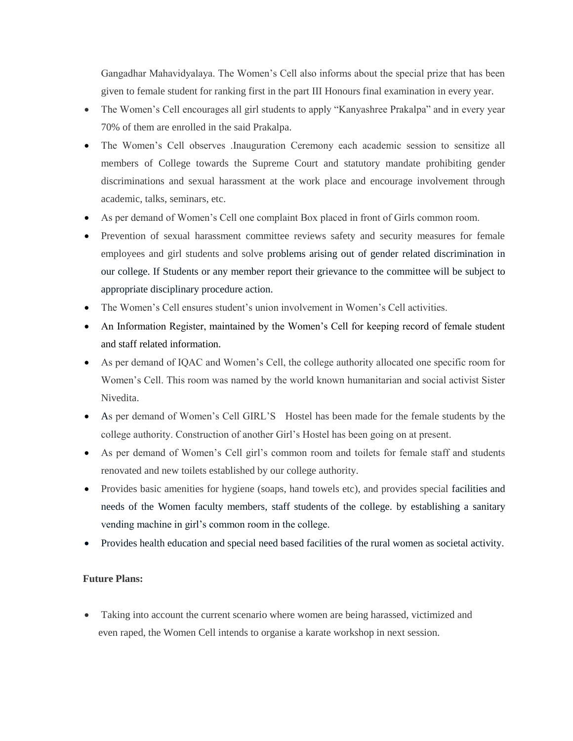Gangadhar Mahavidyalaya. The Women"s Cell also informs about the special prize that has been given to female student for ranking first in the part III Honours final examination in every year.

- The Women's Cell encourages all girl students to apply "Kanyashree Prakalpa" and in every year 70% of them are enrolled in the said Prakalpa.
- The Women's Cell observes .Inauguration Ceremony each academic session to sensitize all members of College towards the Supreme Court and statutory mandate prohibiting gender discriminations and sexual harassment at the work place and encourage involvement through academic, talks, seminars, etc.
- As per demand of Women"s Cell one complaint Box placed in front of Girls common room.
- Prevention of sexual harassment committee reviews safety and security measures for female employees and girl students and solve problems arising out of gender related discrimination in our college. If Students or any member report their grievance to the committee will be subject to appropriate disciplinary procedure action.
- The Women's Cell ensures student's union involvement in Women's Cell activities.
- An Information Register, maintained by the Women's Cell for keeping record of female student and staff related information.
- As per demand of IQAC and Women"s Cell, the college authority allocated one specific room for Women"s Cell. This room was named by the world known humanitarian and social activist Sister Nivedita.
- As per demand of Women"s Cell GIRL"S Hostel has been made for the female students by the college authority. Construction of another Girl"s Hostel has been going on at present.
- As per demand of Women"s Cell girl"s common room and toilets for female staff and students renovated and new toilets established by our college authority.
- Provides basic amenities for hygiene (soaps, hand towels etc), and provides special facilities and needs of the Women faculty members, staff students of the college. by establishing a sanitary vending machine in girl"s common room in the college.
- Provides health education and special need based facilities of the rural women as societal activity.

#### **Future Plans:**

• Taking into account the current scenario where women are being harassed, victimized and even raped, the Women Cell intends to organise a karate workshop in next session.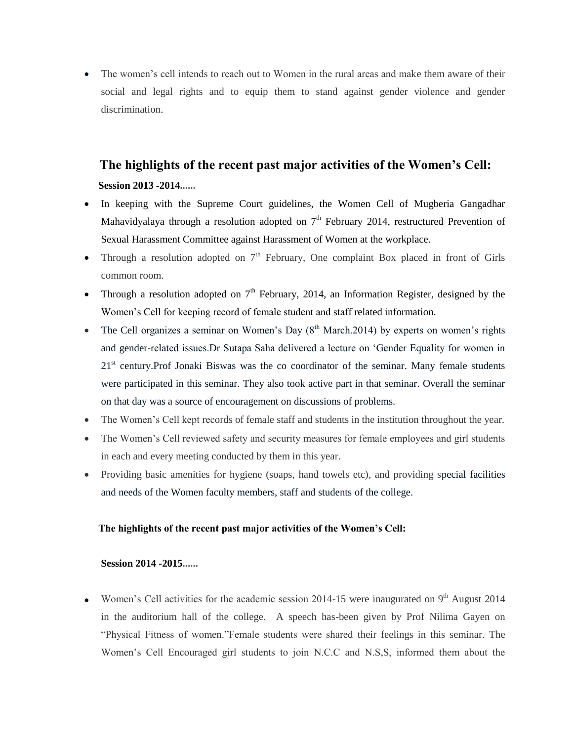The women"s cell intends to reach out to Women in the rural areas and make them aware of their social and legal rights and to equip them to stand against gender violence and gender discrimination.

# **The highlights of the recent past major activities of the Women's Cell: Session 2013 -2014......**

- In keeping with the Supreme Court guidelines, the Women Cell of Mugberia Gangadhar Mahavidyalaya through a resolution adopted on  $7<sup>th</sup>$  February 2014, restructured Prevention of Sexual Harassment Committee against Harassment of Women at the workplace.
- Through a resolution adopted on  $7<sup>th</sup>$  February, One complaint Box placed in front of Girls common room.
- Through a resolution adopted on  $7<sup>th</sup>$  February, 2014, an Information Register, designed by the Women"s Cell for keeping record of female student and staff related information.
- The Cell organizes a seminar on Women's Day  $(8<sup>th</sup> March.2014)$  by experts on women's rights and gender-related issues.Dr Sutapa Saha delivered a lecture on "Gender Equality for women in  $21<sup>st</sup>$  century. Prof Jonaki Biswas was the co coordinator of the seminar. Many female students were participated in this seminar. They also took active part in that seminar. Overall the seminar on that day was a source of encouragement on discussions of problems.
- The Women's Cell kept records of female staff and students in the institution throughout the year.
- The Women's Cell reviewed safety and security measures for female employees and girl students in each and every meeting conducted by them in this year.
- Providing basic amenities for hygiene (soaps, hand towels etc), and providing special facilities and needs of the Women faculty members, staff and students of the college.

#### **The highlights of the recent past major activities of the Women's Cell:**

#### **Session 2014 -2015......**

Women's Cell activities for the academic session 2014-15 were inaugurated on 9<sup>th</sup> August 2014 in the auditorium hall of the college. A speech has-been given by Prof Nilima Gayen on "Physical Fitness of women."Female students were shared their feelings in this seminar. The Women"s Cell Encouraged girl students to join N.C.C and N.S,S, informed them about the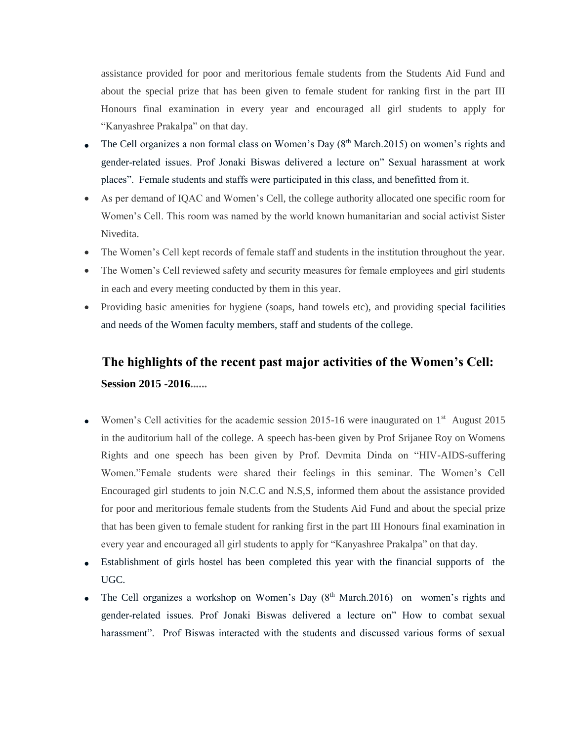assistance provided for poor and meritorious female students from the Students Aid Fund and about the special prize that has been given to female student for ranking first in the part III Honours final examination in every year and encouraged all girl students to apply for "Kanyashree Prakalpa" on that day.

- The Cell organizes a non formal class on Women's Day  $(8<sup>th</sup> March.2015)$  on women's rights and gender-related issues. Prof Jonaki Biswas delivered a lecture on" Sexual harassment at work places". Female students and staffs were participated in this class, and benefitted from it.
- As per demand of IQAC and Women"s Cell, the college authority allocated one specific room for Women"s Cell. This room was named by the world known humanitarian and social activist Sister Nivedita.
- The Women's Cell kept records of female staff and students in the institution throughout the year.
- The Women's Cell reviewed safety and security measures for female employees and girl students in each and every meeting conducted by them in this year.
- Providing basic amenities for hygiene (soaps, hand towels etc), and providing special facilities and needs of the Women faculty members, staff and students of the college.

# **The highlights of the recent past major activities of the Women's Cell: Session 2015 -2016......**

- Women's Cell activities for the academic session 2015-16 were inaugurated on  $1<sup>st</sup>$  August 2015 in the auditorium hall of the college. A speech has-been given by Prof Srijanee Roy on Womens Rights and one speech has been given by Prof. Devmita Dinda on "HIV-AIDS-suffering Women."Female students were shared their feelings in this seminar. The Women"s Cell Encouraged girl students to join N.C.C and N.S,S, informed them about the assistance provided for poor and meritorious female students from the Students Aid Fund and about the special prize that has been given to female student for ranking first in the part III Honours final examination in every year and encouraged all girl students to apply for "Kanyashree Prakalpa" on that day.
- Establishment of girls hostel has been completed this year with the financial supports of the UGC.
- The Cell organizes a workshop on Women's Day  $(8<sup>th</sup> March.2016)$  on women's rights and gender-related issues. Prof Jonaki Biswas delivered a lecture on" How to combat sexual harassment". Prof Biswas interacted with the students and discussed various forms of sexual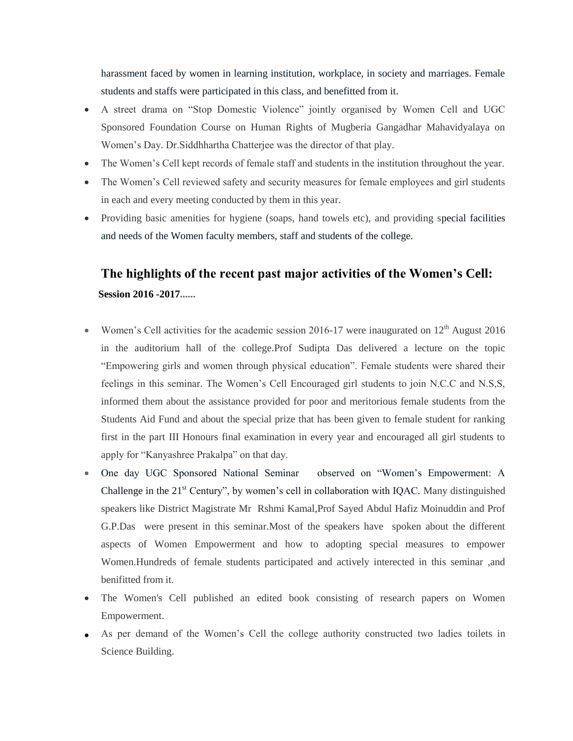harassment faced by women in learning institution, workplace, in society and marriages. Female students and staffs were participated in this class, and benefitted from it.

- A street drama on "Stop Domestic Violence" jointly organised by Women Cell and UGC Sponsored Foundation Course on Human Rights of Mugberia Gangadhar Mahavidyalaya on Women"s Day. Dr.Siddhhartha Chatterjee was the director of that play.
- The Women's Cell kept records of female staff and students in the institution throughout the year.
- The Women's Cell reviewed safety and security measures for female employees and girl students in each and every meeting conducted by them in this year.
- Providing basic amenities for hygiene (soaps, hand towels etc), and providing special facilities and needs of the Women faculty members, staff and students of the college.

# **The highlights of the recent past major activities of the Women's Cell: Session 2016 -2017......**

- Women's Cell activities for the academic session 2016-17 were inaugurated on  $12<sup>th</sup>$  August 2016 in the auditorium hall of the college.Prof Sudipta Das delivered a lecture on the topic "Empowering girls and women through physical education". Female students were shared their feelings in this seminar. The Women"s Cell Encouraged girl students to join N.C.C and N.S,S, informed them about the assistance provided for poor and meritorious female students from the Students Aid Fund and about the special prize that has been given to female student for ranking first in the part III Honours final examination in every year and encouraged all girl students to apply for "Kanyashree Prakalpa" on that day.
- One day UGC Sponsored National Seminar observed on "Women"s Empowerment: A Challenge in the  $21<sup>st</sup>$  Century", by women's cell in collaboration with IQAC. Many distinguished speakers like District Magistrate Mr Rshmi Kamal,Prof Sayed Abdul Hafiz Moinuddin and Prof G.P.Das were present in this seminar.Most of the speakers have spoken about the different aspects of Women Empowerment and how to adopting special measures to empower Women.Hundreds of female students participated and actively interected in this seminar ,and benifitted from it.
- The Women's Cell published an edited book consisting of research papers on Women Empowerment.
- As per demand of the Women"s Cell the college authority constructed two ladies toilets in Science Building.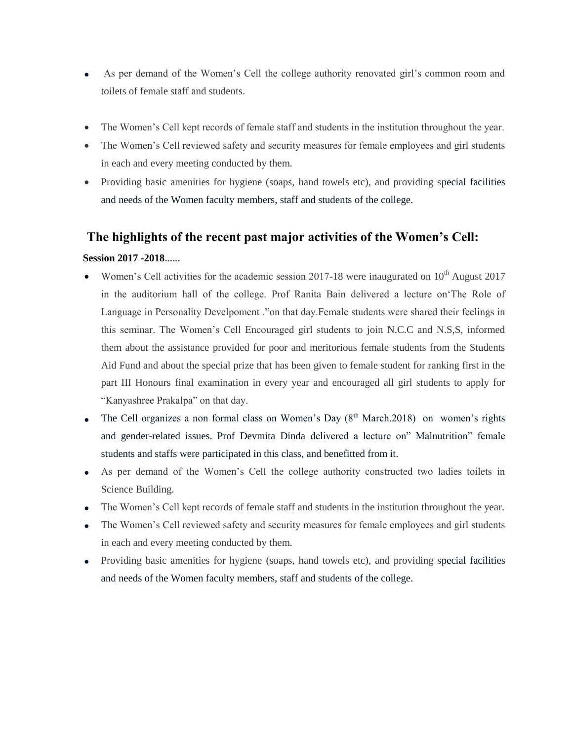- As per demand of the Women"s Cell the college authority renovated girl"s common room and toilets of female staff and students.
- The Women's Cell kept records of female staff and students in the institution throughout the year.
- The Women's Cell reviewed safety and security measures for female employees and girl students in each and every meeting conducted by them.
- Providing basic amenities for hygiene (soaps, hand towels etc), and providing special facilities and needs of the Women faculty members, staff and students of the college.

### **The highlights of the recent past major activities of the Women's Cell:**

#### **Session 2017 -2018......**

- Women's Cell activities for the academic session 2017-18 were inaugurated on  $10<sup>th</sup>$  August 2017 in the auditorium hall of the college. Prof Ranita Bain delivered a lecture on"The Role of Language in Personality Develpoment ."on that day.Female students were shared their feelings in this seminar. The Women"s Cell Encouraged girl students to join N.C.C and N.S,S, informed them about the assistance provided for poor and meritorious female students from the Students Aid Fund and about the special prize that has been given to female student for ranking first in the part III Honours final examination in every year and encouraged all girl students to apply for "Kanyashree Prakalpa" on that day.
- The Cell organizes a non formal class on Women's Day  $(8<sup>th</sup> March.2018)$  on women's rights and gender-related issues. Prof Devmita Dinda delivered a lecture on" Malnutrition" female students and staffs were participated in this class, and benefitted from it.
- As per demand of the Women"s Cell the college authority constructed two ladies toilets in Science Building.
- The Women"s Cell kept records of female staff and students in the institution throughout the year.
- The Women's Cell reviewed safety and security measures for female employees and girl students in each and every meeting conducted by them.
- Providing basic amenities for hygiene (soaps, hand towels etc), and providing special facilities and needs of the Women faculty members, staff and students of the college.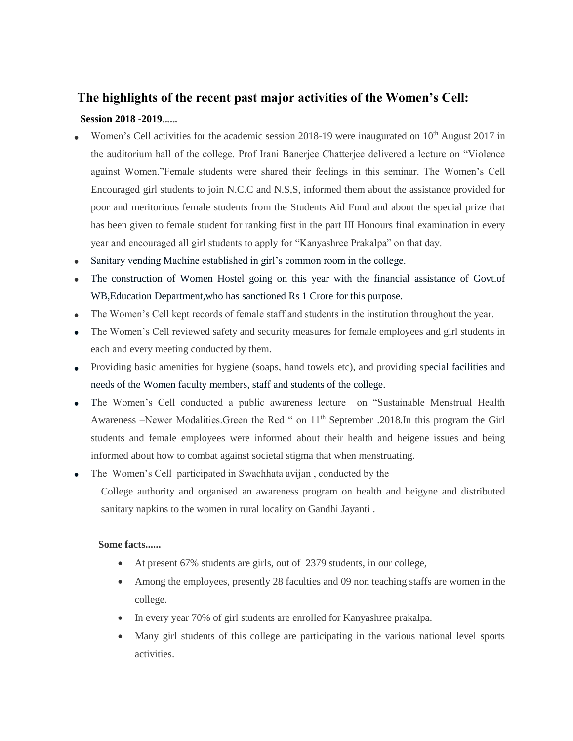# **The highlights of the recent past major activities of the Women's Cell: Session 2018 -2019......**

- Women's Cell activities for the academic session 2018-19 were inaugurated on 10<sup>th</sup> August 2017 in the auditorium hall of the college. Prof Irani Banerjee Chatterjee delivered a lecture on "Violence against Women."Female students were shared their feelings in this seminar. The Women"s Cell Encouraged girl students to join N.C.C and N.S,S, informed them about the assistance provided for poor and meritorious female students from the Students Aid Fund and about the special prize that has been given to female student for ranking first in the part III Honours final examination in every year and encouraged all girl students to apply for "Kanyashree Prakalpa" on that day.
- Sanitary vending Machine established in girl"s common room in the college.
- The construction of Women Hostel going on this year with the financial assistance of Govt.of WB,Education Department,who has sanctioned Rs 1 Crore for this purpose.
- The Women"s Cell kept records of female staff and students in the institution throughout the year.
- The Women's Cell reviewed safety and security measures for female employees and girl students in each and every meeting conducted by them.
- Providing basic amenities for hygiene (soaps, hand towels etc), and providing special facilities and needs of the Women faculty members, staff and students of the college.
- The Women"s Cell conducted a public awareness lecture on "Sustainable Menstrual Health Awareness –Newer Modalities.Green the Red " on 11<sup>th</sup> September .2018.In this program the Girl students and female employees were informed about their health and heigene issues and being informed about how to combat against societal stigma that when menstruating.
- The Women"s Cell participated in Swachhata avijan , conducted by the College authority and organised an awareness program on health and heigyne and distributed sanitary napkins to the women in rural locality on Gandhi Jayanti .

#### **Some facts......**

- At present 67% students are girls, out of 2379 students, in our college,
- Among the employees, presently 28 faculties and 09 non teaching staffs are women in the college.
- In every year 70% of girl students are enrolled for Kanyashree prakalpa.
- Many girl students of this college are participating in the various national level sports activities.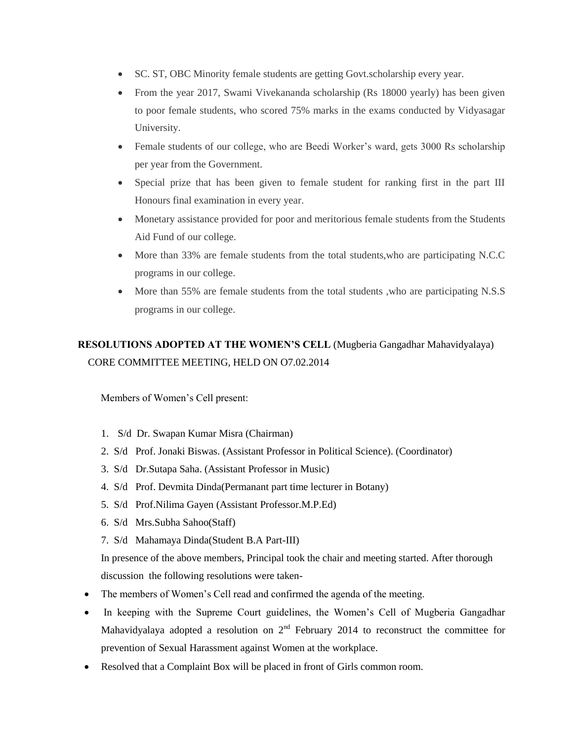- SC. ST, OBC Minority female students are getting Govt.scholarship every year.
- From the year 2017, Swami Vivekananda scholarship (Rs 18000 yearly) has been given to poor female students, who scored 75% marks in the exams conducted by Vidyasagar University.
- Female students of our college, who are Beedi Worker's ward, gets 3000 Rs scholarship per year from the Government.
- Special prize that has been given to female student for ranking first in the part III Honours final examination in every year.
- Monetary assistance provided for poor and meritorious female students from the Students Aid Fund of our college.
- More than 33% are female students from the total students,who are participating N.C.C programs in our college.
- More than 55% are female students from the total students ,who are participating N.S.S programs in our college.

# **RESOLUTIONS ADOPTED AT THE WOMEN'S CELL** (Mugberia Gangadhar Mahavidyalaya) CORE COMMITTEE MEETING, HELD ON O7.02.2014

Members of Women"s Cell present:

- 1. S/d Dr. Swapan Kumar Misra (Chairman)
- 2. S/d Prof. Jonaki Biswas. (Assistant Professor in Political Science). (Coordinator)
- 3. S/d Dr.Sutapa Saha. (Assistant Professor in Music)
- 4. S/d Prof. Devmita Dinda(Permanant part time lecturer in Botany)
- 5. S/d Prof.Nilima Gayen (Assistant Professor.M.P.Ed)
- 6. S/d Mrs.Subha Sahoo(Staff)
- 7. S/d Mahamaya Dinda(Student B.A Part-III)

- The members of Women's Cell read and confirmed the agenda of the meeting.
- In keeping with the Supreme Court guidelines, the Women's Cell of Mugberia Gangadhar Mahavidyalaya adopted a resolution on  $2<sup>nd</sup>$  February 2014 to reconstruct the committee for prevention of Sexual Harassment against Women at the workplace.
- Resolved that a Complaint Box will be placed in front of Girls common room.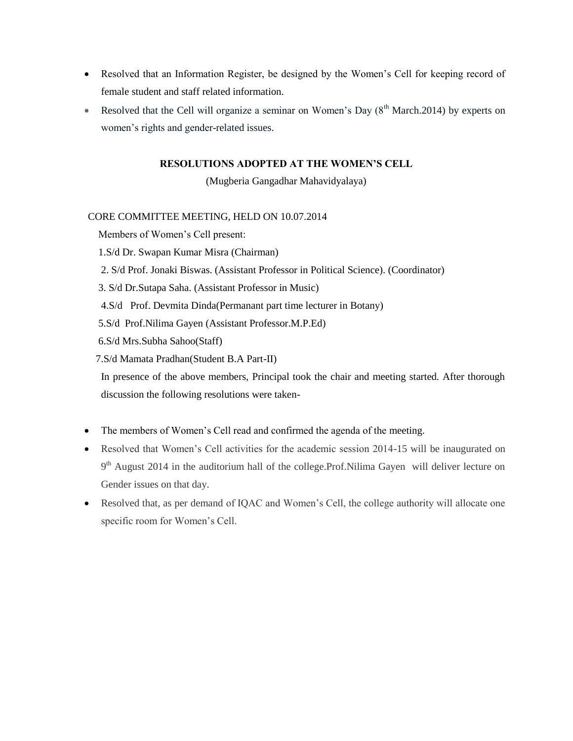- Resolved that an Information Register, be designed by the Women"s Cell for keeping record of female student and staff related information.
- Resolved that the Cell will organize a seminar on Women's Day  $(8<sup>th</sup> March.2014)$  by experts on women"s rights and gender-related issues.

(Mugberia Gangadhar Mahavidyalaya)

#### CORE COMMITTEE MEETING, HELD ON 10.07.2014

Members of Women"s Cell present:

- 1.S/d Dr. Swapan Kumar Misra (Chairman)
- 2. S/d Prof. Jonaki Biswas. (Assistant Professor in Political Science). (Coordinator)
- 3. S/d Dr.Sutapa Saha. (Assistant Professor in Music)
- 4.S/d Prof. Devmita Dinda(Permanant part time lecturer in Botany)
- 5.S/d Prof.Nilima Gayen (Assistant Professor.M.P.Ed)
- 6.S/d Mrs.Subha Sahoo(Staff)
- 7.S/d Mamata Pradhan(Student B.A Part-II)

- The members of Women's Cell read and confirmed the agenda of the meeting.
- Resolved that Women"s Cell activities for the academic session 2014-15 will be inaugurated on 9<sup>th</sup> August 2014 in the auditorium hall of the college.Prof.Nilima Gayen will deliver lecture on Gender issues on that day.
- Resolved that, as per demand of IQAC and Women"s Cell, the college authority will allocate one specific room for Women's Cell.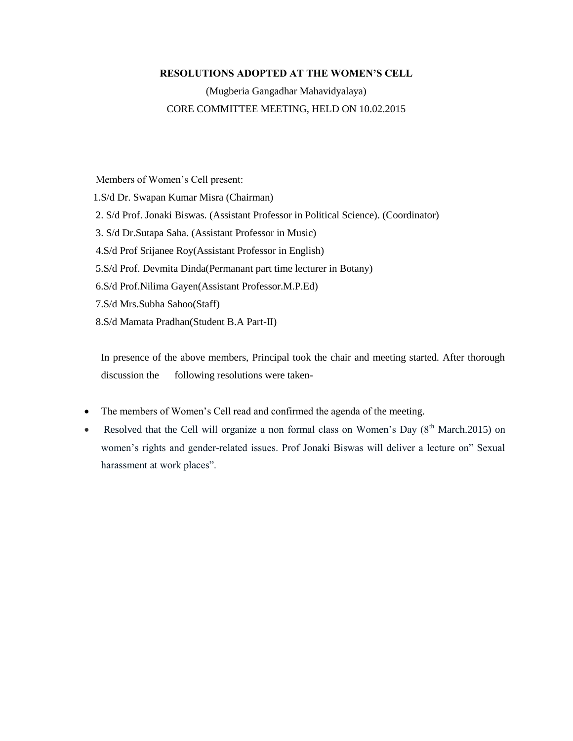(Mugberia Gangadhar Mahavidyalaya) CORE COMMITTEE MEETING, HELD ON 10.02.2015

 Members of Women"s Cell present: 1.S/d Dr. Swapan Kumar Misra (Chairman) 2. S/d Prof. Jonaki Biswas. (Assistant Professor in Political Science). (Coordinator) 3. S/d Dr.Sutapa Saha. (Assistant Professor in Music) 4.S/d Prof Srijanee Roy(Assistant Professor in English) 5.S/d Prof. Devmita Dinda(Permanant part time lecturer in Botany) 6.S/d Prof.Nilima Gayen(Assistant Professor.M.P.Ed) 7.S/d Mrs.Subha Sahoo(Staff) 8.S/d Mamata Pradhan(Student B.A Part-II)

- The members of Women's Cell read and confirmed the agenda of the meeting.
- Resolved that the Cell will organize a non formal class on Women's Day  $(8<sup>th</sup> March.2015)$  on women"s rights and gender-related issues. Prof Jonaki Biswas will deliver a lecture on" Sexual harassment at work places".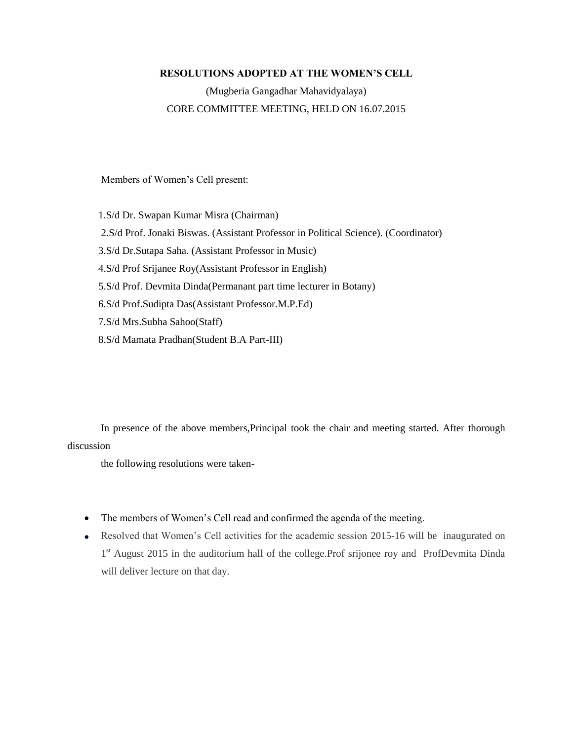(Mugberia Gangadhar Mahavidyalaya) CORE COMMITTEE MEETING, HELD ON 16.07.2015

Members of Women"s Cell present:

 1.S/d Dr. Swapan Kumar Misra (Chairman) 2.S/d Prof. Jonaki Biswas. (Assistant Professor in Political Science). (Coordinator) 3.S/d Dr.Sutapa Saha. (Assistant Professor in Music) 4.S/d Prof Srijanee Roy(Assistant Professor in English) 5.S/d Prof. Devmita Dinda(Permanant part time lecturer in Botany) 6.S/d Prof.Sudipta Das(Assistant Professor.M.P.Ed) 7.S/d Mrs.Subha Sahoo(Staff) 8.S/d Mamata Pradhan(Student B.A Part-III)

 In presence of the above members,Principal took the chair and meeting started. After thorough discussion

the following resolutions were taken-

- The members of Women's Cell read and confirmed the agenda of the meeting.
- Resolved that Women"s Cell activities for the academic session 2015-16 will be inaugurated on 1<sup>st</sup> August 2015 in the auditorium hall of the college.Prof srijonee roy and ProfDevmita Dinda will deliver lecture on that day.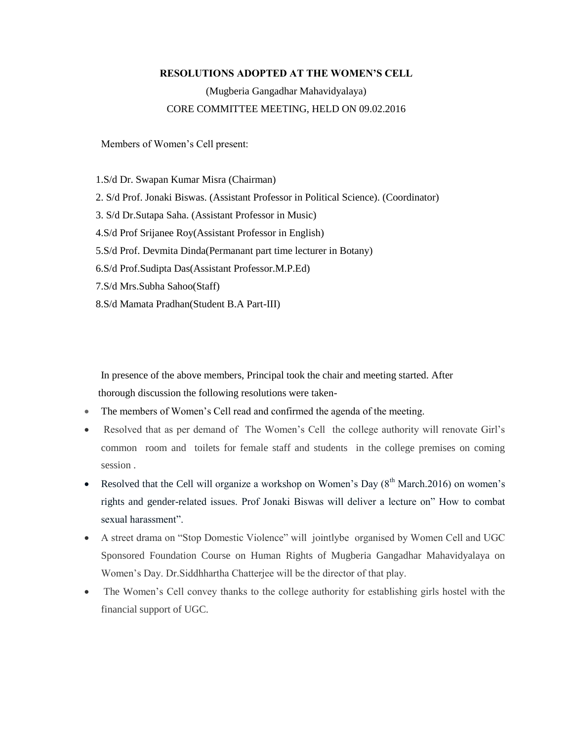### (Mugberia Gangadhar Mahavidyalaya) CORE COMMITTEE MEETING, HELD ON 09.02.2016

Members of Women"s Cell present:

 1.S/d Dr. Swapan Kumar Misra (Chairman) 2. S/d Prof. Jonaki Biswas. (Assistant Professor in Political Science). (Coordinator) 3. S/d Dr.Sutapa Saha. (Assistant Professor in Music) 4.S/d Prof Srijanee Roy(Assistant Professor in English) 5.S/d Prof. Devmita Dinda(Permanant part time lecturer in Botany) 6.S/d Prof.Sudipta Das(Assistant Professor.M.P.Ed) 7.S/d Mrs.Subha Sahoo(Staff) 8.S/d Mamata Pradhan(Student B.A Part-III)

- The members of Women"s Cell read and confirmed the agenda of the meeting.
- Resolved that as per demand of The Women"s Cell the college authority will renovate Girl"s common room and toilets for female staff and students in the college premises on coming session .
- Resolved that the Cell will organize a workshop on Women's Day  $(8<sup>th</sup> March.2016)$  on women's rights and gender-related issues. Prof Jonaki Biswas will deliver a lecture on" How to combat sexual harassment".
- A street drama on "Stop Domestic Violence" will jointlybe organised by Women Cell and UGC Sponsored Foundation Course on Human Rights of Mugberia Gangadhar Mahavidyalaya on Women"s Day. Dr.Siddhhartha Chatterjee will be the director of that play.
- The Women's Cell convey thanks to the college authority for establishing girls hostel with the financial support of UGC.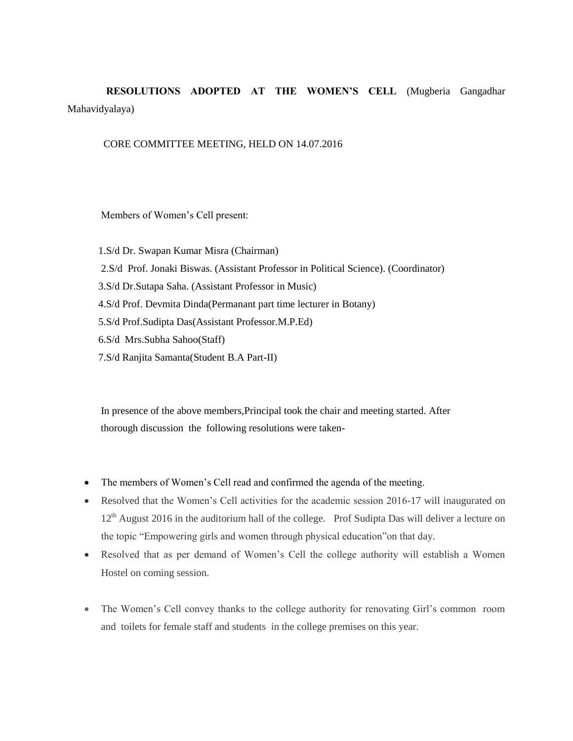## **RESOLUTIONS ADOPTED AT THE WOMEN'S CELL** (Mugberia Gangadhar Mahavidyalaya)

#### CORE COMMITTEE MEETING, HELD ON 14.07.2016

Members of Women"s Cell present:

 1.S/d Dr. Swapan Kumar Misra (Chairman) 2.S/d Prof. Jonaki Biswas. (Assistant Professor in Political Science). (Coordinator) 3.S/d Dr.Sutapa Saha. (Assistant Professor in Music) 4.S/d Prof. Devmita Dinda(Permanant part time lecturer in Botany) 5.S/d Prof.Sudipta Das(Assistant Professor.M.P.Ed) 6.S/d Mrs.Subha Sahoo(Staff) 7.S/d Ranjita Samanta(Student B.A Part-II)

- The members of Women's Cell read and confirmed the agenda of the meeting.
- Resolved that the Women"s Cell activities for the academic session 2016-17 will inaugurated on 12<sup>th</sup> August 2016 in the auditorium hall of the college. Prof Sudipta Das will deliver a lecture on the topic "Empowering girls and women through physical education"on that day.
- Resolved that as per demand of Women"s Cell the college authority will establish a Women Hostel on coming session.
- The Women's Cell convey thanks to the college authority for renovating Girl's common room and toilets for female staff and students in the college premises on this year.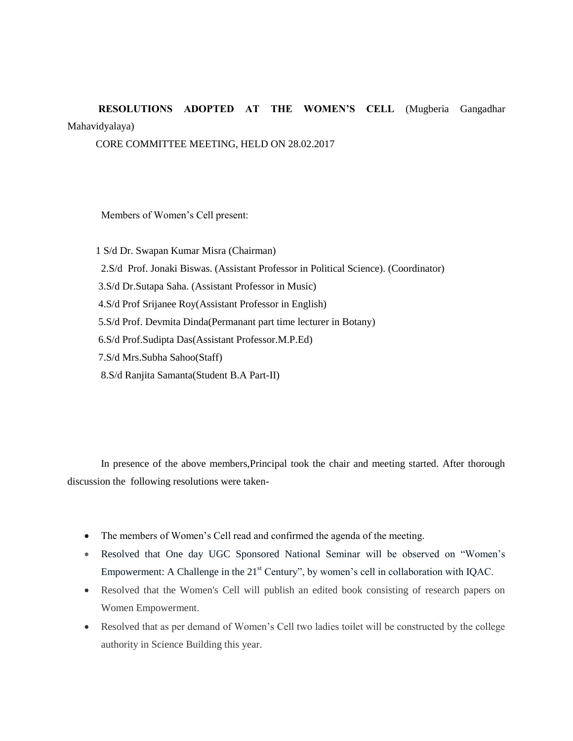# **RESOLUTIONS ADOPTED AT THE WOMEN'S CELL** (Mugberia Gangadhar Mahavidyalaya)

CORE COMMITTEE MEETING, HELD ON 28.02.2017

Members of Women"s Cell present:

 1 S/d Dr. Swapan Kumar Misra (Chairman) 2.S/d Prof. Jonaki Biswas. (Assistant Professor in Political Science). (Coordinator) 3.S/d Dr.Sutapa Saha. (Assistant Professor in Music) 4.S/d Prof Srijanee Roy(Assistant Professor in English) 5.S/d Prof. Devmita Dinda(Permanant part time lecturer in Botany) 6.S/d Prof.Sudipta Das(Assistant Professor.M.P.Ed) 7.S/d Mrs.Subha Sahoo(Staff) 8.S/d Ranjita Samanta(Student B.A Part-II)

- The members of Women's Cell read and confirmed the agenda of the meeting.
- Resolved that One day UGC Sponsored National Seminar will be observed on "Women"s Empowerment: A Challenge in the  $21<sup>st</sup>$  Century", by women's cell in collaboration with IQAC.
- Resolved that the Women's Cell will publish an edited book consisting of research papers on Women Empowerment.
- Resolved that as per demand of Women"s Cell two ladies toilet will be constructed by the college authority in Science Building this year.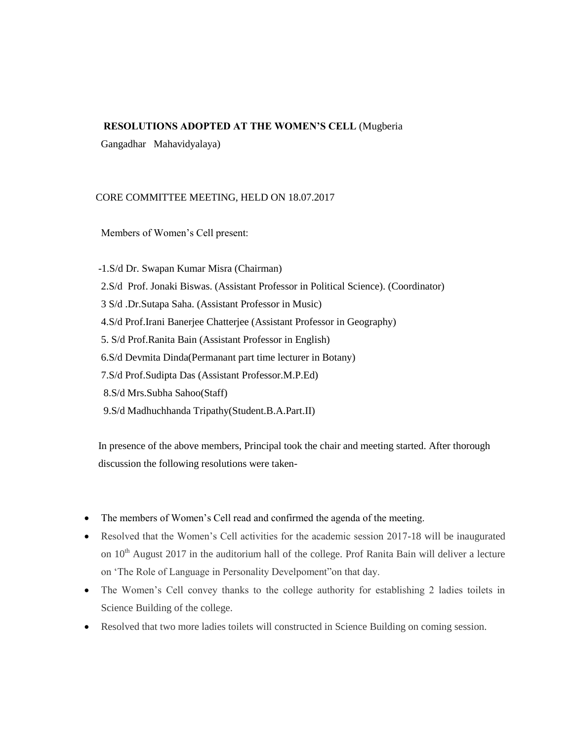#### **RESOLUTIONS ADOPTED AT THE WOMEN'S CELL** (Mugberia

Gangadhar Mahavidyalaya)

#### CORE COMMITTEE MEETING, HELD ON 18.07.2017

Members of Women"s Cell present:

 -1.S/d Dr. Swapan Kumar Misra (Chairman) 2.S/d Prof. Jonaki Biswas. (Assistant Professor in Political Science). (Coordinator) 3 S/d .Dr.Sutapa Saha. (Assistant Professor in Music) 4.S/d Prof.Irani Banerjee Chatterjee (Assistant Professor in Geography) 5. S/d Prof.Ranita Bain (Assistant Professor in English) 6.S/d Devmita Dinda(Permanant part time lecturer in Botany) 7.S/d Prof.Sudipta Das (Assistant Professor.M.P.Ed) 8.S/d Mrs.Subha Sahoo(Staff) 9.S/d Madhuchhanda Tripathy(Student.B.A.Part.II)

- The members of Women's Cell read and confirmed the agenda of the meeting.
- Resolved that the Women"s Cell activities for the academic session 2017-18 will be inaugurated on 10<sup>th</sup> August 2017 in the auditorium hall of the college. Prof Ranita Bain will deliver a lecture on "The Role of Language in Personality Develpoment"on that day.
- The Women's Cell convey thanks to the college authority for establishing 2 ladies toilets in Science Building of the college.
- Resolved that two more ladies toilets will constructed in Science Building on coming session.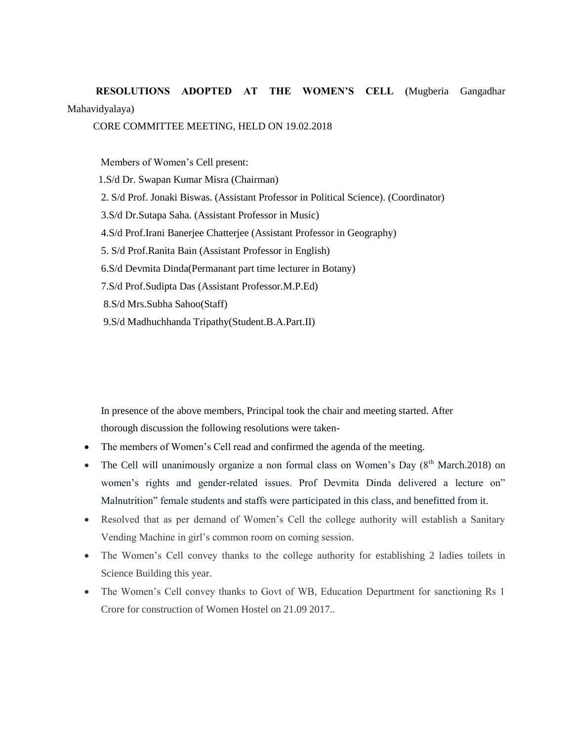**RESOLUTIONS ADOPTED AT THE WOMEN'S CELL (**Mugberia Gangadhar Mahavidyalaya)

#### CORE COMMITTEE MEETING, HELD ON 19.02.2018

Members of Women"s Cell present:

 1.S/d Dr. Swapan Kumar Misra (Chairman) 2. S/d Prof. Jonaki Biswas. (Assistant Professor in Political Science). (Coordinator) 3.S/d Dr.Sutapa Saha. (Assistant Professor in Music) 4.S/d Prof.Irani Banerjee Chatterjee (Assistant Professor in Geography) 5. S/d Prof.Ranita Bain (Assistant Professor in English) 6.S/d Devmita Dinda(Permanant part time lecturer in Botany) 7.S/d Prof.Sudipta Das (Assistant Professor.M.P.Ed) 8.S/d Mrs.Subha Sahoo(Staff) 9.S/d Madhuchhanda Tripathy(Student.B.A.Part.II)

- The members of Women"s Cell read and confirmed the agenda of the meeting.
- The Cell will unanimously organize a non formal class on Women's Day  $(8<sup>th</sup> March.2018)$  on women"s rights and gender-related issues. Prof Devmita Dinda delivered a lecture on" Malnutrition" female students and staffs were participated in this class, and benefitted from it.
- Resolved that as per demand of Women"s Cell the college authority will establish a Sanitary Vending Machine in girl"s common room on coming session.
- The Women's Cell convey thanks to the college authority for establishing 2 ladies toilets in Science Building this year.
- The Women's Cell convey thanks to Govt of WB, Education Department for sanctioning Rs 1 Crore for construction of Women Hostel on 21.09 2017..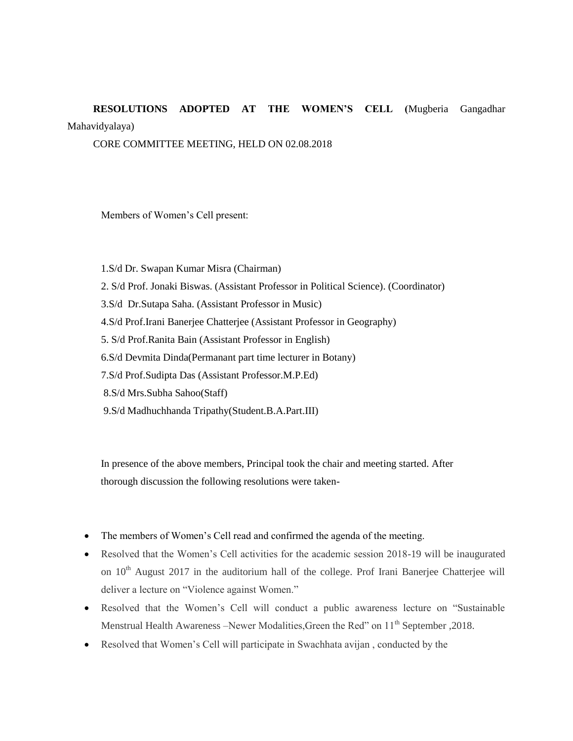## **RESOLUTIONS ADOPTED AT THE WOMEN'S CELL (**Mugberia Gangadhar Mahavidyalaya)

CORE COMMITTEE MEETING, HELD ON 02.08.2018

Members of Women"s Cell present:

 1.S/d Dr. Swapan Kumar Misra (Chairman) 2. S/d Prof. Jonaki Biswas. (Assistant Professor in Political Science). (Coordinator) 3.S/d Dr.Sutapa Saha. (Assistant Professor in Music) 4.S/d Prof.Irani Banerjee Chatterjee (Assistant Professor in Geography) 5. S/d Prof.Ranita Bain (Assistant Professor in English) 6.S/d Devmita Dinda(Permanant part time lecturer in Botany) 7.S/d Prof.Sudipta Das (Assistant Professor.M.P.Ed) 8.S/d Mrs.Subha Sahoo(Staff) 9.S/d Madhuchhanda Tripathy(Student.B.A.Part.III)

- The members of Women's Cell read and confirmed the agenda of the meeting.
- Resolved that the Women"s Cell activities for the academic session 2018-19 will be inaugurated on 10<sup>th</sup> August 2017 in the auditorium hall of the college. Prof Irani Banerjee Chatterjee will deliver a lecture on "Violence against Women."
- Resolved that the Women"s Cell will conduct a public awareness lecture on "Sustainable Menstrual Health Awareness –Newer Modalities, Green the Red" on 11<sup>th</sup> September , 2018.
- Resolved that Women"s Cell will participate in Swachhata avijan , conducted by the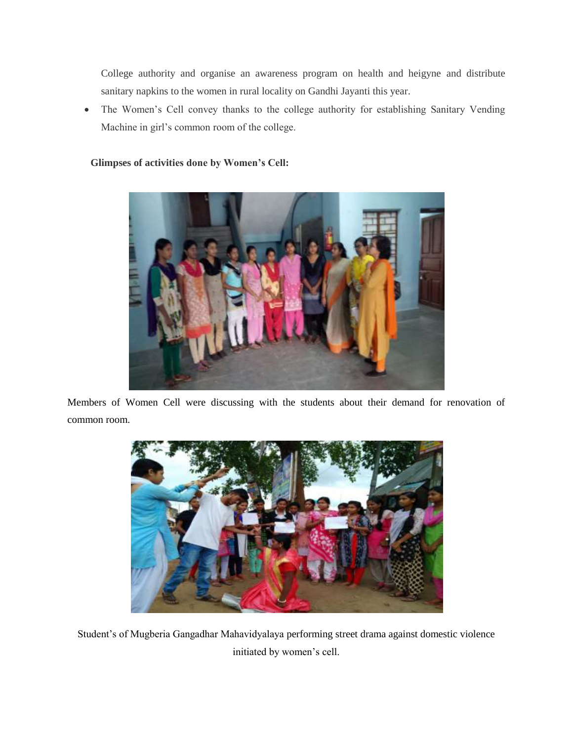College authority and organise an awareness program on health and heigyne and distribute sanitary napkins to the women in rural locality on Gandhi Jayanti this year.

 The Women"s Cell convey thanks to the college authority for establishing Sanitary Vending Machine in girl"s common room of the college.

#### **Glimpses of activities done by Women's Cell:**



Members of Women Cell were discussing with the students about their demand for renovation of common room.



Student"s of Mugberia Gangadhar Mahavidyalaya performing street drama against domestic violence initiated by women"s cell.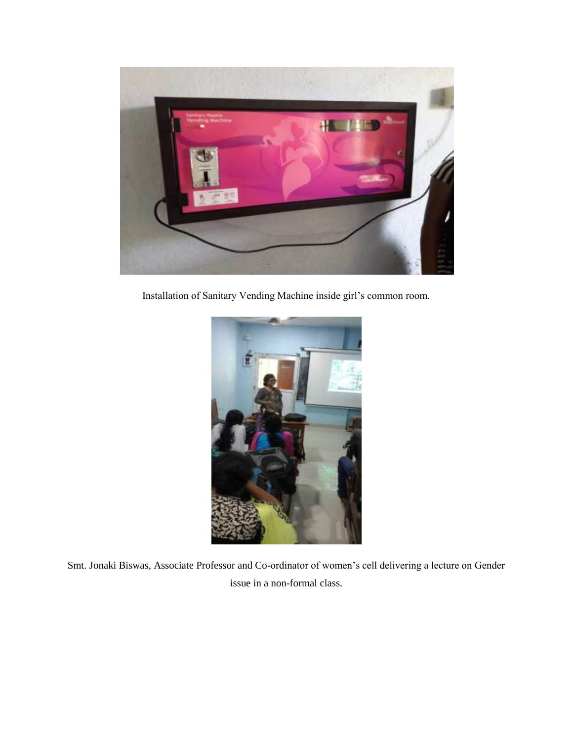

Installation of Sanitary Vending Machine inside girl"s common room.



Smt. Jonaki Biswas, Associate Professor and Co-ordinator of women"s cell delivering a lecture on Gender issue in a non-formal class.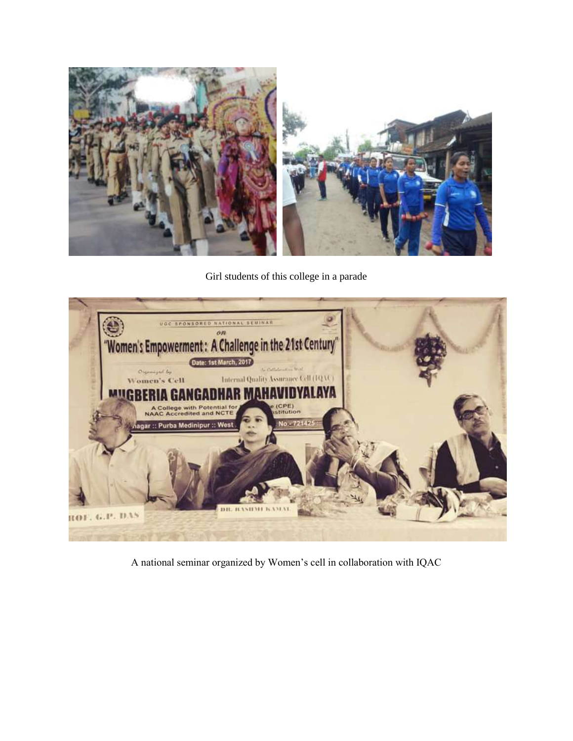

Girl students of this college in a parade



A national seminar organized by Women"s cell in collaboration with IQAC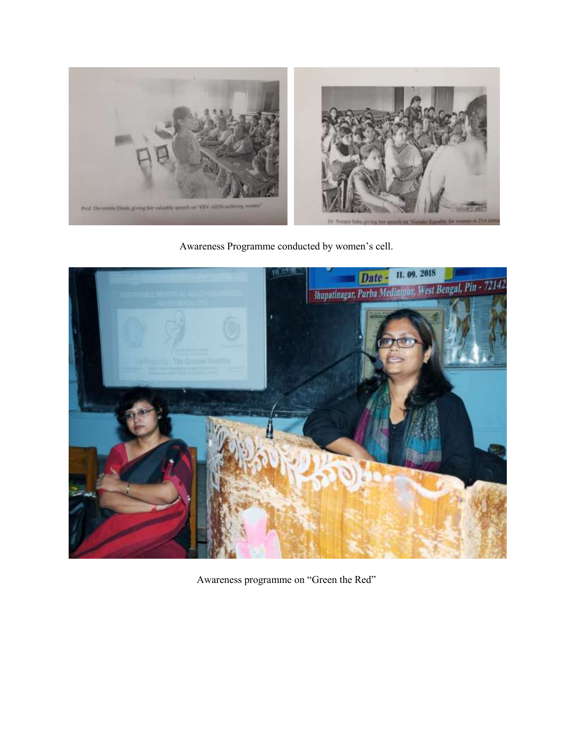

Awareness Programme conducted by women"s cell.



Awareness programme on "Green the Red"